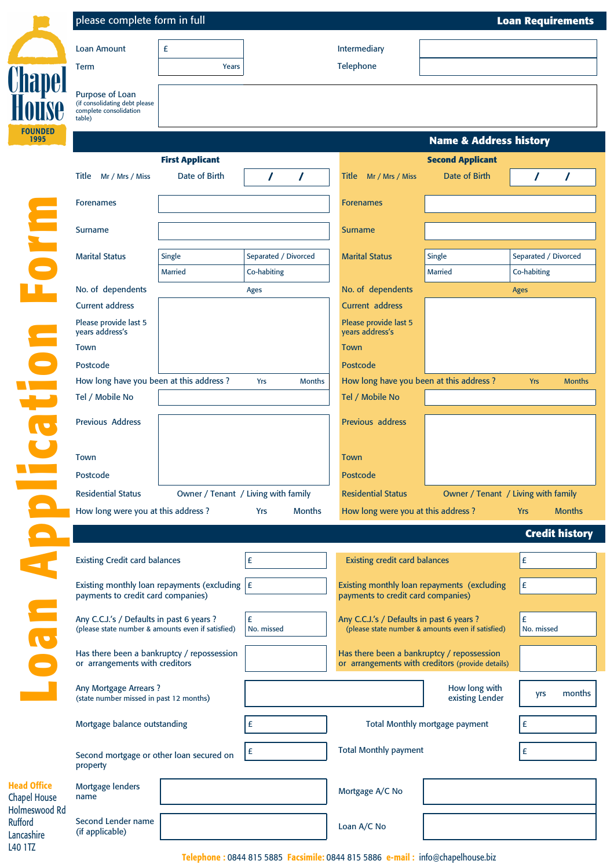|                                                   | please complete form in full<br><b>Loan Requirements</b>                                                                                                |                                     |                             |                                             |                                                   |                             |  |  |  |
|---------------------------------------------------|---------------------------------------------------------------------------------------------------------------------------------------------------------|-------------------------------------|-----------------------------|---------------------------------------------|---------------------------------------------------|-----------------------------|--|--|--|
|                                                   | Loan Amount                                                                                                                                             | £                                   | Intermediary                |                                             |                                                   |                             |  |  |  |
|                                                   | <b>Term</b>                                                                                                                                             | Years                               |                             | Telephone                                   |                                                   |                             |  |  |  |
|                                                   | Purpose of Loan<br>(if consolidating debt please<br>complete consolidation<br>table)                                                                    |                                     |                             |                                             |                                                   |                             |  |  |  |
| <b>FOUNDED</b><br>1995                            |                                                                                                                                                         | <b>Name &amp; Address history</b>   |                             |                                             |                                                   |                             |  |  |  |
|                                                   |                                                                                                                                                         | <b>First Applicant</b>              |                             |                                             | <b>Second Applicant</b>                           |                             |  |  |  |
|                                                   | Title Mr / Mrs / Miss                                                                                                                                   | Date of Birth                       | $\prime$<br>I               | Title<br>Mr / Mrs / Miss                    | Date of Birth                                     | $\prime$<br>7               |  |  |  |
|                                                   | <b>Forenames</b>                                                                                                                                        |                                     |                             | <b>Forenames</b>                            |                                                   |                             |  |  |  |
| E<br>D<br>I<br>D                                  | Surname                                                                                                                                                 |                                     |                             | <b>Surname</b>                              |                                                   |                             |  |  |  |
|                                                   | <b>Marital Status</b>                                                                                                                                   | Single                              | Separated / Divorced        | <b>Marital Status</b>                       | Single                                            | Separated / Divorced        |  |  |  |
|                                                   |                                                                                                                                                         | <b>Married</b>                      | Co-habiting                 |                                             | <b>Married</b>                                    | Co-habiting                 |  |  |  |
|                                                   | No. of dependents                                                                                                                                       |                                     | Ages                        | No. of dependents                           |                                                   | <b>Ages</b>                 |  |  |  |
|                                                   | <b>Current address</b>                                                                                                                                  |                                     |                             | <b>Current address</b>                      |                                                   |                             |  |  |  |
|                                                   | Please provide last 5<br>years address's                                                                                                                |                                     |                             | Please provide last 5<br>years address's    |                                                   |                             |  |  |  |
| C<br>C                                            | Town                                                                                                                                                    |                                     |                             | Town                                        |                                                   |                             |  |  |  |
|                                                   | Postcode                                                                                                                                                |                                     |                             | Postcode                                    |                                                   |                             |  |  |  |
|                                                   | How long have you been at this address?                                                                                                                 |                                     | <b>Yrs</b><br><b>Months</b> | How long have you been at this address?     |                                                   | <b>Yrs</b><br><b>Months</b> |  |  |  |
|                                                   | Tel / Mobile No                                                                                                                                         |                                     |                             | Tel / Mobile No                             |                                                   |                             |  |  |  |
| $\overline{\phantom{0}}$                          | Previous Address                                                                                                                                        |                                     |                             | Previous address                            |                                                   |                             |  |  |  |
|                                                   | Town                                                                                                                                                    |                                     |                             | <b>Town</b>                                 |                                                   |                             |  |  |  |
|                                                   | Postcode                                                                                                                                                |                                     |                             | Postcode                                    |                                                   |                             |  |  |  |
|                                                   | <b>Residential Status</b>                                                                                                                               | Owner / Tenant / Living with family |                             | <b>Residential Status</b>                   | Owner / Tenant / Living with family               |                             |  |  |  |
|                                                   | How long were you at this address?                                                                                                                      |                                     | <b>Months</b><br>Yrs        | How long were you at this address?          |                                                   | <b>Months</b><br><b>Yrs</b> |  |  |  |
|                                                   | <b>Credit history</b>                                                                                                                                   |                                     |                             |                                             |                                                   |                             |  |  |  |
|                                                   | <b>Existing Credit card balances</b>                                                                                                                    |                                     | £                           | <b>Existing credit card balances</b>        |                                                   | £                           |  |  |  |
|                                                   | Existing monthly loan repayments (excluding $E$                                                                                                         |                                     |                             | Existing monthly loan repayments (excluding |                                                   | $\pmb{\mathsf{E}}$          |  |  |  |
|                                                   | payments to credit card companies)                                                                                                                      |                                     |                             | payments to credit card companies)          |                                                   |                             |  |  |  |
|                                                   | Any C.C.J.'s / Defaults in past 6 years ?<br>(please state number & amounts even if satisfied)                                                          |                                     | £<br>No. missed             | Any C.C.J.'s / Defaults in past 6 years ?   | (please state number & amounts even if satisfied) | £<br>No. missed             |  |  |  |
| Dan                                               | Has there been a bankruptcy / repossession<br>or arrangements with creditors<br><b>Any Mortgage Arrears?</b><br>(state number missed in past 12 months) |                                     |                             | Has there been a bankruptcy / repossession  | or arrangements with creditors (provide details)  |                             |  |  |  |
|                                                   |                                                                                                                                                         |                                     |                             |                                             | How long with<br>existing Lender                  | months<br>yrs               |  |  |  |
|                                                   | Mortgage balance outstanding<br>£                                                                                                                       |                                     |                             | Total Monthly mortgage payment              |                                                   | £                           |  |  |  |
|                                                   | Second mortgage or other loan secured on<br>property                                                                                                    |                                     | £                           | <b>Total Monthly payment</b>                |                                                   | £                           |  |  |  |
| <b>Head Office</b><br><b>Chapel House</b>         | Mortgage lenders<br>name                                                                                                                                |                                     |                             | Mortgage A/C No                             |                                                   |                             |  |  |  |
| Holmeswood Rd<br>Rufford<br>Lancashire<br>L40 1TZ | Second Lender name<br>(if applicable)                                                                                                                   |                                     |                             | Loan A/C No                                 |                                                   |                             |  |  |  |

Telephone : 0844 815 5885 Facsimile: 0844 815 5886 e-mail : info@chapelhouse.biz